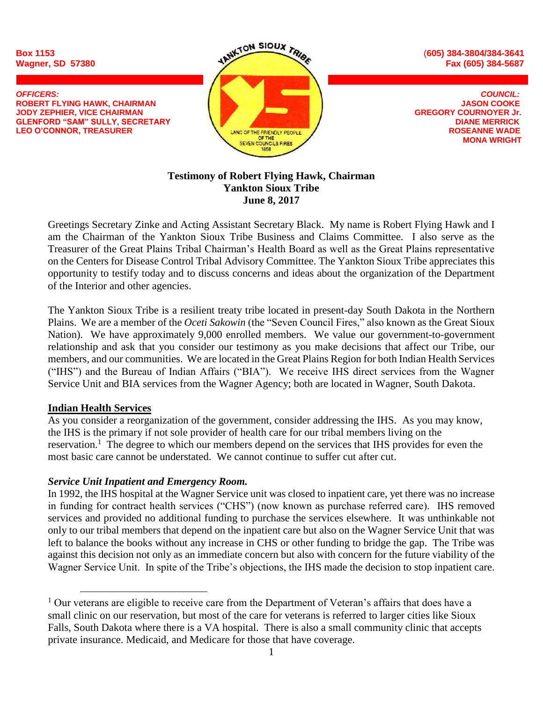

# **Testimony of Robert Flying Hawk, Chairman Yankton Sioux Tribe June 8, 2017**

Greetings Secretary Zinke and Acting Assistant Secretary Black. My name is Robert Flying Hawk and I am the Chairman of the Yankton Sioux Tribe Business and Claims Committee. I also serve as the Treasurer of the Great Plains Tribal Chairman's Health Board as well as the Great Plains representative on the Centers for Disease Control Tribal Advisory Committee. The Yankton Sioux Tribe appreciates this opportunity to testify today and to discuss concerns and ideas about the organization of the Department of the Interior and other agencies.

The Yankton Sioux Tribe is a resilient treaty tribe located in present-day South Dakota in the Northern Plains. We are a member of the *Oceti Sakowin* (the "Seven Council Fires," also known as the Great Sioux Nation). We have approximately 9,000 enrolled members. We value our government-to-government relationship and ask that you consider our testimony as you make decisions that affect our Tribe, our members, and our communities. We are located in the Great Plains Region for both Indian Health Services ("IHS") and the Bureau of Indian Affairs ("BIA"). We receive IHS direct services from the Wagner Service Unit and BIA services from the Wagner Agency; both are located in Wagner, South Dakota.

# **Indian Health Services**

 $\overline{a}$ 

As you consider a reorganization of the government, consider addressing the IHS. As you may know, the IHS is the primary if not sole provider of health care for our tribal members living on the reservation.<sup>1</sup> The degree to which our members depend on the services that IHS provides for even the most basic care cannot be understated. We cannot continue to suffer cut after cut.

# *Service Unit Inpatient and Emergency Room.*

In 1992, the IHS hospital at the Wagner Service unit was closed to inpatient care, yet there was no increase in funding for contract health services ("CHS") (now known as purchase referred care). IHS removed services and provided no additional funding to purchase the services elsewhere. It was unthinkable not only to our tribal members that depend on the inpatient care but also on the Wagner Service Unit that was left to balance the books without any increase in CHS or other funding to bridge the gap. The Tribe was against this decision not only as an immediate concern but also with concern for the future viability of the Wagner Service Unit. In spite of the Tribe's objections, the IHS made the decision to stop inpatient care.

 $1$  Our veterans are eligible to receive care from the Department of Veteran's affairs that does have a small clinic on our reservation, but most of the care for veterans is referred to larger cities like Sioux Falls, South Dakota where there is a VA hospital. There is also a small community clinic that accepts private insurance. Medicaid, and Medicare for those that have coverage.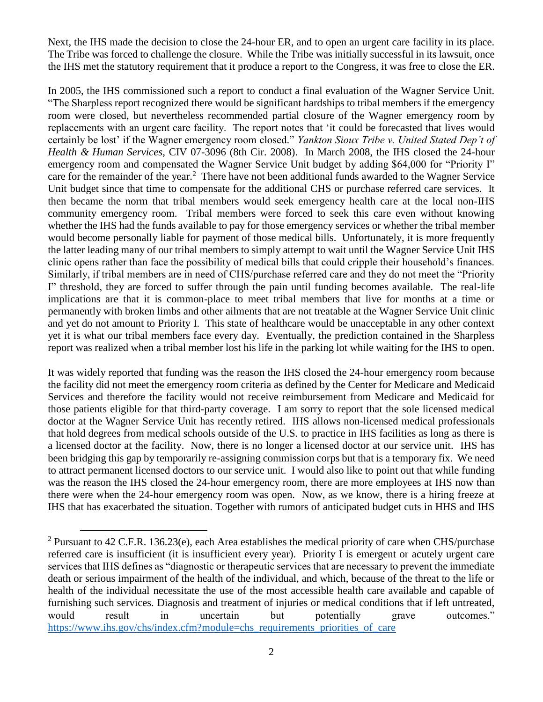Next, the IHS made the decision to close the 24-hour ER, and to open an urgent care facility in its place. The Tribe was forced to challenge the closure. While the Tribe was initially successful in its lawsuit, once the IHS met the statutory requirement that it produce a report to the Congress, it was free to close the ER.

In 2005, the IHS commissioned such a report to conduct a final evaluation of the Wagner Service Unit. "The Sharpless report recognized there would be significant hardships to tribal members if the emergency room were closed, but nevertheless recommended partial closure of the Wagner emergency room by replacements with an urgent care facility. The report notes that 'it could be forecasted that lives would certainly be lost' if the Wagner emergency room closed." *Yankton Sioux Tribe v. United Stated Dep't of Health & Human Services*, CIV 07-3096 (8th Cir. 2008). In March 2008, the IHS closed the 24-hour emergency room and compensated the Wagner Service Unit budget by adding \$64,000 for "Priority I" care for the remainder of the year.<sup>2</sup> There have not been additional funds awarded to the Wagner Service Unit budget since that time to compensate for the additional CHS or purchase referred care services. It then became the norm that tribal members would seek emergency health care at the local non-IHS community emergency room. Tribal members were forced to seek this care even without knowing whether the IHS had the funds available to pay for those emergency services or whether the tribal member would become personally liable for payment of those medical bills. Unfortunately, it is more frequently the latter leading many of our tribal members to simply attempt to wait until the Wagner Service Unit IHS clinic opens rather than face the possibility of medical bills that could cripple their household's finances. Similarly, if tribal members are in need of CHS/purchase referred care and they do not meet the "Priority I" threshold, they are forced to suffer through the pain until funding becomes available. The real-life implications are that it is common-place to meet tribal members that live for months at a time or permanently with broken limbs and other ailments that are not treatable at the Wagner Service Unit clinic and yet do not amount to Priority I. This state of healthcare would be unacceptable in any other context yet it is what our tribal members face every day. Eventually, the prediction contained in the Sharpless report was realized when a tribal member lost his life in the parking lot while waiting for the IHS to open.

It was widely reported that funding was the reason the IHS closed the 24-hour emergency room because the facility did not meet the emergency room criteria as defined by the Center for Medicare and Medicaid Services and therefore the facility would not receive reimbursement from Medicare and Medicaid for those patients eligible for that third-party coverage. I am sorry to report that the sole licensed medical doctor at the Wagner Service Unit has recently retired. IHS allows non-licensed medical professionals that hold degrees from medical schools outside of the U.S. to practice in IHS facilities as long as there is a licensed doctor at the facility. Now, there is no longer a licensed doctor at our service unit. IHS has been bridging this gap by temporarily re-assigning commission corps but that is a temporary fix. We need to attract permanent licensed doctors to our service unit. I would also like to point out that while funding was the reason the IHS closed the 24-hour emergency room, there are more employees at IHS now than there were when the 24-hour emergency room was open. Now, as we know, there is a hiring freeze at IHS that has exacerbated the situation. Together with rumors of anticipated budget cuts in HHS and IHS

 $\overline{a}$ 

<sup>&</sup>lt;sup>2</sup> Pursuant to 42 C.F.R. 136.23(e), each Area establishes the medical priority of care when CHS/purchase referred care is insufficient (it is insufficient every year). Priority I is emergent or acutely urgent care services that IHS defines as "diagnostic or therapeutic services that are necessary to prevent the immediate death or serious impairment of the health of the individual, and which, because of the threat to the life or health of the individual necessitate the use of the most accessible health care available and capable of furnishing such services. Diagnosis and treatment of injuries or medical conditions that if left untreated, would result in uncertain but potentially grave outcomes." [https://www.ihs.gov/chs/index.cfm?module=chs\\_requirements\\_priorities\\_of\\_care](https://www.ihs.gov/chs/index.cfm?module=chs_requirements_priorities_of_care)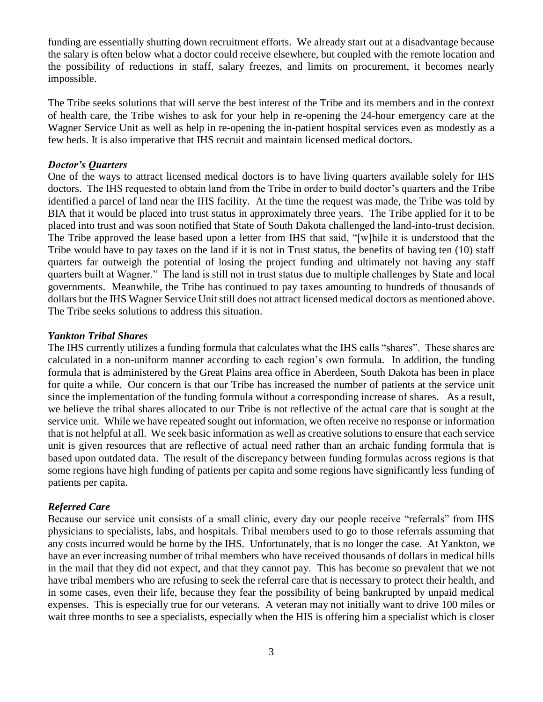funding are essentially shutting down recruitment efforts. We already start out at a disadvantage because the salary is often below what a doctor could receive elsewhere, but coupled with the remote location and the possibility of reductions in staff, salary freezes, and limits on procurement, it becomes nearly impossible.

The Tribe seeks solutions that will serve the best interest of the Tribe and its members and in the context of health care, the Tribe wishes to ask for your help in re-opening the 24-hour emergency care at the Wagner Service Unit as well as help in re-opening the in-patient hospital services even as modestly as a few beds. It is also imperative that IHS recruit and maintain licensed medical doctors.

### *Doctor's Quarters*

One of the ways to attract licensed medical doctors is to have living quarters available solely for IHS doctors. The IHS requested to obtain land from the Tribe in order to build doctor's quarters and the Tribe identified a parcel of land near the IHS facility. At the time the request was made, the Tribe was told by BIA that it would be placed into trust status in approximately three years. The Tribe applied for it to be placed into trust and was soon notified that State of South Dakota challenged the land-into-trust decision. The Tribe approved the lease based upon a letter from IHS that said, "[w]hile it is understood that the Tribe would have to pay taxes on the land if it is not in Trust status, the benefits of having ten (10) staff quarters far outweigh the potential of losing the project funding and ultimately not having any staff quarters built at Wagner." The land is still not in trust status due to multiple challenges by State and local governments. Meanwhile, the Tribe has continued to pay taxes amounting to hundreds of thousands of dollars but the IHS Wagner Service Unit still does not attract licensed medical doctors as mentioned above. The Tribe seeks solutions to address this situation.

# *Yankton Tribal Shares*

The IHS currently utilizes a funding formula that calculates what the IHS calls "shares". These shares are calculated in a non-uniform manner according to each region's own formula. In addition, the funding formula that is administered by the Great Plains area office in Aberdeen, South Dakota has been in place for quite a while. Our concern is that our Tribe has increased the number of patients at the service unit since the implementation of the funding formula without a corresponding increase of shares. As a result, we believe the tribal shares allocated to our Tribe is not reflective of the actual care that is sought at the service unit. While we have repeated sought out information, we often receive no response or information that is not helpful at all. We seek basic information as well as creative solutions to ensure that each service unit is given resources that are reflective of actual need rather than an archaic funding formula that is based upon outdated data. The result of the discrepancy between funding formulas across regions is that some regions have high funding of patients per capita and some regions have significantly less funding of patients per capita.

# *Referred Care*

Because our service unit consists of a small clinic, every day our people receive "referrals" from IHS physicians to specialists, labs, and hospitals. Tribal members used to go to those referrals assuming that any costs incurred would be borne by the IHS. Unfortunately, that is no longer the case. At Yankton, we have an ever increasing number of tribal members who have received thousands of dollars in medical bills in the mail that they did not expect, and that they cannot pay. This has become so prevalent that we not have tribal members who are refusing to seek the referral care that is necessary to protect their health, and in some cases, even their life, because they fear the possibility of being bankrupted by unpaid medical expenses. This is especially true for our veterans. A veteran may not initially want to drive 100 miles or wait three months to see a specialists, especially when the HIS is offering him a specialist which is closer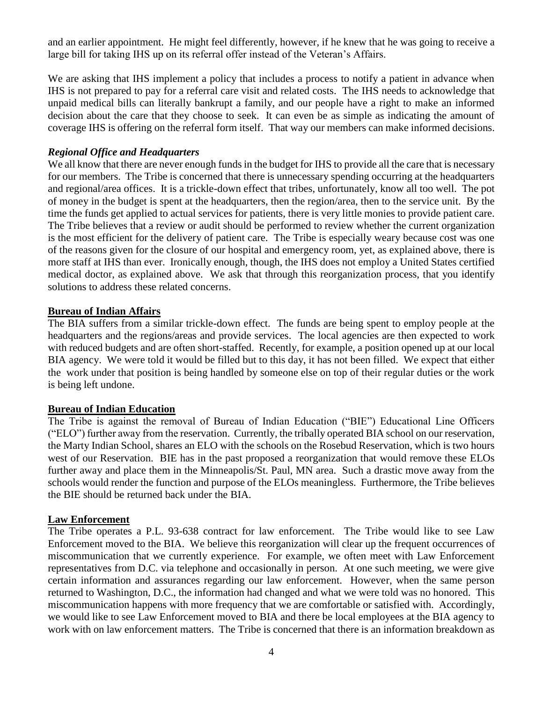and an earlier appointment. He might feel differently, however, if he knew that he was going to receive a large bill for taking IHS up on its referral offer instead of the Veteran's Affairs.

We are asking that IHS implement a policy that includes a process to notify a patient in advance when IHS is not prepared to pay for a referral care visit and related costs. The IHS needs to acknowledge that unpaid medical bills can literally bankrupt a family, and our people have a right to make an informed decision about the care that they choose to seek. It can even be as simple as indicating the amount of coverage IHS is offering on the referral form itself. That way our members can make informed decisions.

### *Regional Office and Headquarters*

We all know that there are never enough funds in the budget for IHS to provide all the care that is necessary for our members. The Tribe is concerned that there is unnecessary spending occurring at the headquarters and regional/area offices. It is a trickle-down effect that tribes, unfortunately, know all too well. The pot of money in the budget is spent at the headquarters, then the region/area, then to the service unit. By the time the funds get applied to actual services for patients, there is very little monies to provide patient care. The Tribe believes that a review or audit should be performed to review whether the current organization is the most efficient for the delivery of patient care. The Tribe is especially weary because cost was one of the reasons given for the closure of our hospital and emergency room, yet, as explained above, there is more staff at IHS than ever. Ironically enough, though, the IHS does not employ a United States certified medical doctor, as explained above. We ask that through this reorganization process, that you identify solutions to address these related concerns.

#### **Bureau of Indian Affairs**

The BIA suffers from a similar trickle-down effect. The funds are being spent to employ people at the headquarters and the regions/areas and provide services. The local agencies are then expected to work with reduced budgets and are often short-staffed. Recently, for example, a position opened up at our local BIA agency. We were told it would be filled but to this day, it has not been filled. We expect that either the work under that position is being handled by someone else on top of their regular duties or the work is being left undone.

# **Bureau of Indian Education**

The Tribe is against the removal of Bureau of Indian Education ("BIE") Educational Line Officers ("ELO") further away from the reservation. Currently, the tribally operated BIA school on our reservation, the Marty Indian School, shares an ELO with the schools on the Rosebud Reservation, which is two hours west of our Reservation. BIE has in the past proposed a reorganization that would remove these ELOs further away and place them in the Minneapolis/St. Paul, MN area. Such a drastic move away from the schools would render the function and purpose of the ELOs meaningless. Furthermore, the Tribe believes the BIE should be returned back under the BIA.

#### **Law Enforcement**

The Tribe operates a P.L. 93-638 contract for law enforcement. The Tribe would like to see Law Enforcement moved to the BIA. We believe this reorganization will clear up the frequent occurrences of miscommunication that we currently experience. For example, we often meet with Law Enforcement representatives from D.C. via telephone and occasionally in person. At one such meeting, we were give certain information and assurances regarding our law enforcement. However, when the same person returned to Washington, D.C., the information had changed and what we were told was no honored. This miscommunication happens with more frequency that we are comfortable or satisfied with. Accordingly, we would like to see Law Enforcement moved to BIA and there be local employees at the BIA agency to work with on law enforcement matters. The Tribe is concerned that there is an information breakdown as